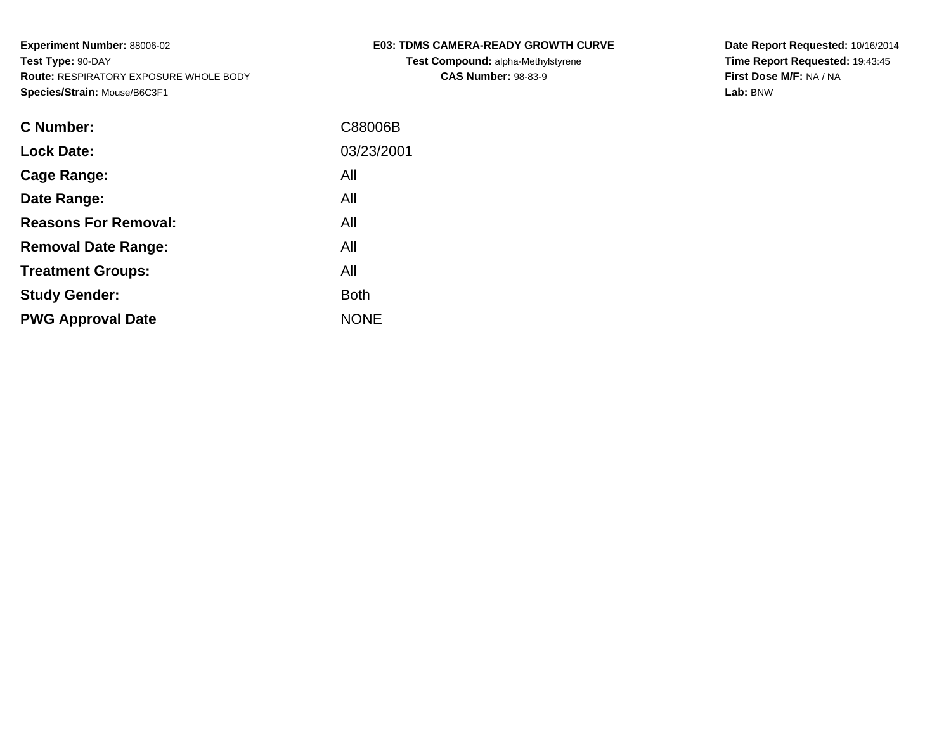| <b>C Number:</b>            | C88006B     |
|-----------------------------|-------------|
| <b>Lock Date:</b>           | 03/23/2001  |
| <b>Cage Range:</b>          | All         |
| Date Range:                 | All         |
| <b>Reasons For Removal:</b> | All         |
| <b>Removal Date Range:</b>  | All         |
| <b>Treatment Groups:</b>    | All         |
| <b>Study Gender:</b>        | <b>Both</b> |
| <b>PWG Approval Date</b>    | <b>NONE</b> |
|                             |             |

# **E03: TDMS CAMERA-READY GROWTH CURVE**

**Test Compound:** alpha-Methylstyrene**CAS Number:** 98-83-9

**Date Report Requested:** 10/16/2014 **Time Report Requested:** 19:43:45**First Dose M/F:** NA / NA**Lab:** BNW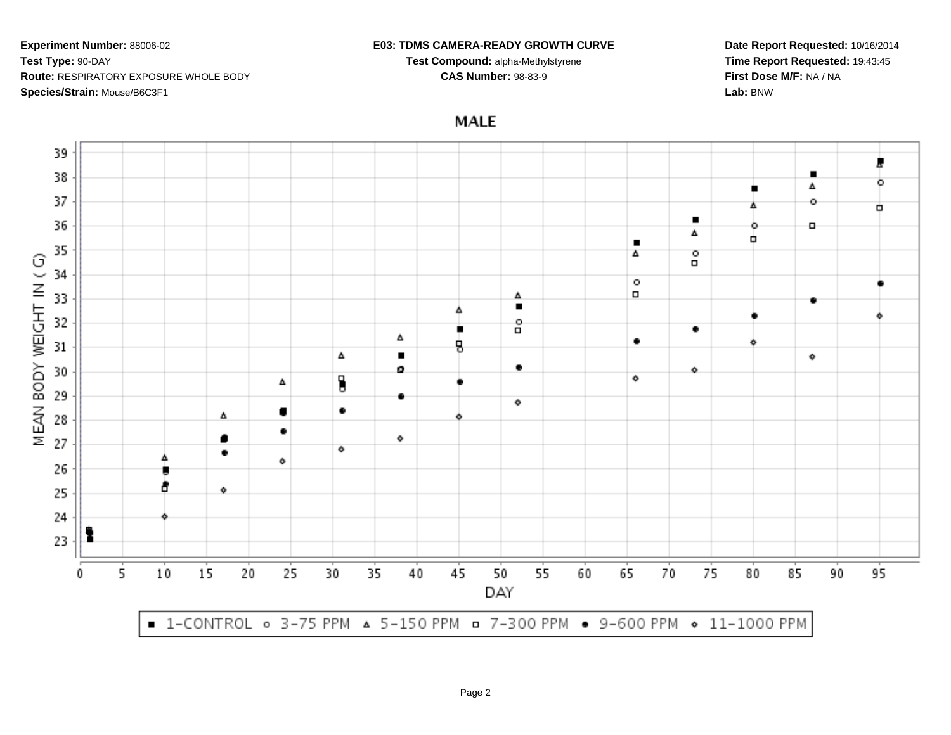#### **E03: TDMS CAMERA-READY GROWTH CURVE**

**Test Compound:** alpha-Methylstyrene**CAS Number:** 98-83-9

**Date Report Requested:** 10/16/2014**Time Report Requested:** 19:43:45**First Dose M/F:** NA / NA**Lab:** BNW

**MALE** 

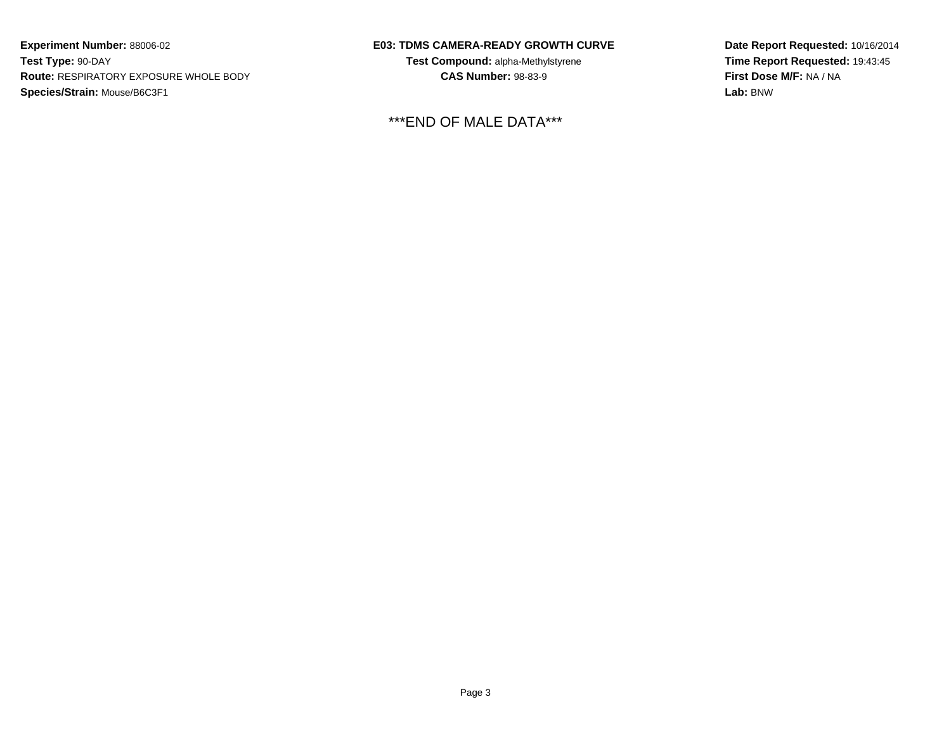### **E03: TDMS CAMERA-READY GROWTH CURVE**

**Test Compound:** alpha-Methylstyrene**CAS Number:** 98-83-9

## \*\*\*END OF MALE DATA\*\*\*

**Date Report Requested:** 10/16/2014**Time Report Requested:** 19:43:45**First Dose M/F:** NA / NA**Lab:** BNW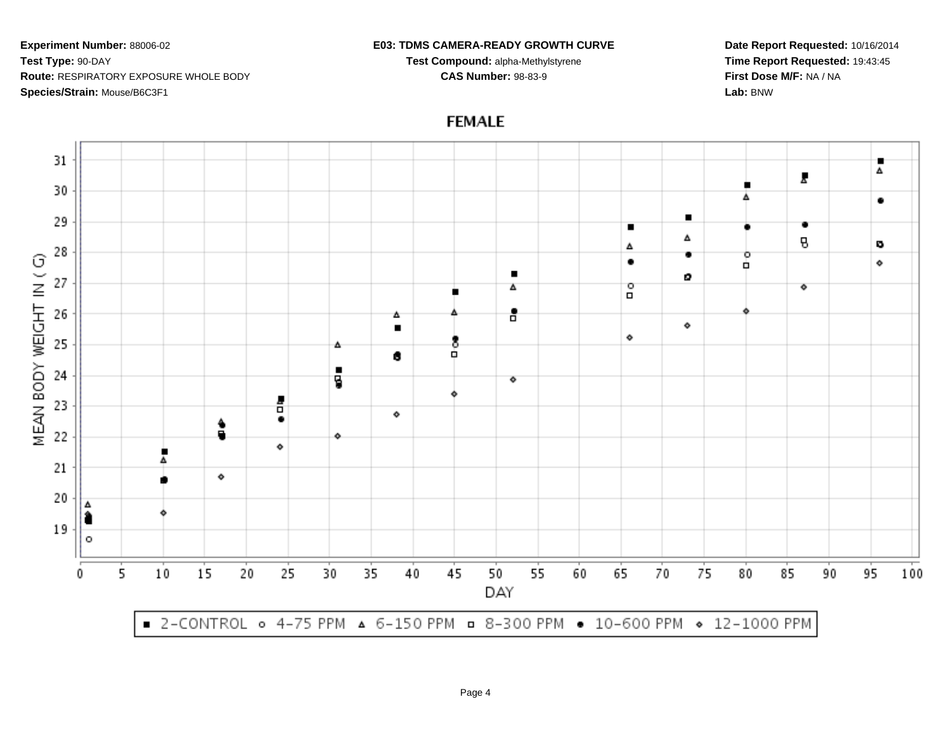#### **E03: TDMS CAMERA-READY GROWTH CURVE**

**Test Compound:** alpha-Methylstyrene**CAS Number:** 98-83-9

**Date Report Requested:** 10/16/2014**Time Report Requested:** 19:43:45**First Dose M/F:** NA / NA**Lab:** BNW



# **FEMALE**